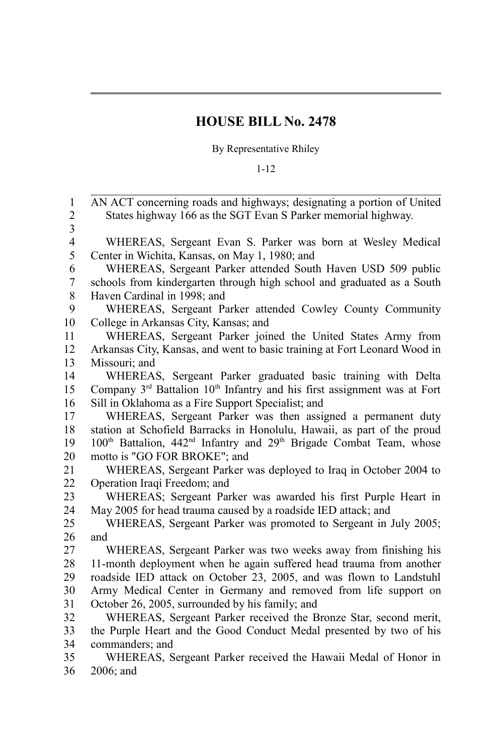## **HOUSE BILL No. 2478**

By Representative Rhiley

## 1-12

| 1<br>$\overline{c}$     | AN ACT concerning roads and highways; designating a portion of United<br>States highway 166 as the SGT Evan S Parker memorial highway. |
|-------------------------|----------------------------------------------------------------------------------------------------------------------------------------|
| $\overline{\mathbf{3}}$ |                                                                                                                                        |
| $\overline{4}$          | WHEREAS, Sergeant Evan S. Parker was born at Wesley Medical                                                                            |
| 5                       | Center in Wichita, Kansas, on May 1, 1980; and                                                                                         |
| 6                       | WHEREAS, Sergeant Parker attended South Haven USD 509 public                                                                           |
| 7                       | schools from kindergarten through high school and graduated as a South                                                                 |
| $\,$ 8 $\,$             | Haven Cardinal in 1998; and                                                                                                            |
| 9                       | WHEREAS, Sergeant Parker attended Cowley County Community                                                                              |
| 10                      | College in Arkansas City, Kansas; and                                                                                                  |
| 11                      | WHEREAS, Sergeant Parker joined the United States Army from                                                                            |
| 12                      | Arkansas City, Kansas, and went to basic training at Fort Leonard Wood in                                                              |
| 13                      | Missouri; and                                                                                                                          |
| 14                      | WHEREAS, Sergeant Parker graduated basic training with Delta                                                                           |
| 15                      | Company 3 <sup>rd</sup> Battalion 10 <sup>th</sup> Infantry and his first assignment was at Fort                                       |
| 16                      | Sill in Oklahoma as a Fire Support Specialist; and                                                                                     |
| 17                      | WHEREAS, Sergeant Parker was then assigned a permanent duty                                                                            |
| 18                      | station at Schofield Barracks in Honolulu, Hawaii, as part of the proud                                                                |
| 19                      | 100 <sup>th</sup> Battalion, 442 <sup>nd</sup> Infantry and 29 <sup>th</sup> Brigade Combat Team, whose                                |
| 20                      | motto is "GO FOR BROKE"; and                                                                                                           |
| 21                      | WHEREAS, Sergeant Parker was deployed to Iraq in October 2004 to                                                                       |
| 22                      | Operation Iraqi Freedom; and                                                                                                           |
| 23                      | WHEREAS; Sergeant Parker was awarded his first Purple Heart in                                                                         |
| 24                      | May 2005 for head trauma caused by a roadside IED attack; and                                                                          |
| 25                      | WHEREAS, Sergeant Parker was promoted to Sergeant in July 2005;                                                                        |
| 26                      | and                                                                                                                                    |
| 27                      | WHEREAS, Sergeant Parker was two weeks away from finishing his                                                                         |
| 28                      | 11-month deployment when he again suffered head trauma from another                                                                    |
| 29                      | roadside IED attack on October 23, 2005, and was flown to Landstuhl                                                                    |
| 30                      | Army Medical Center in Germany and removed from life support on                                                                        |
| 31                      | October 26, 2005, surrounded by his family; and                                                                                        |
| 32                      | WHEREAS, Sergeant Parker received the Bronze Star, second merit,                                                                       |
| 33                      | the Purple Heart and the Good Conduct Medal presented by two of his                                                                    |
| 34                      | commanders; and                                                                                                                        |
| 35                      | WHEREAS, Sergeant Parker received the Hawaii Medal of Honor in                                                                         |

2006; and 36